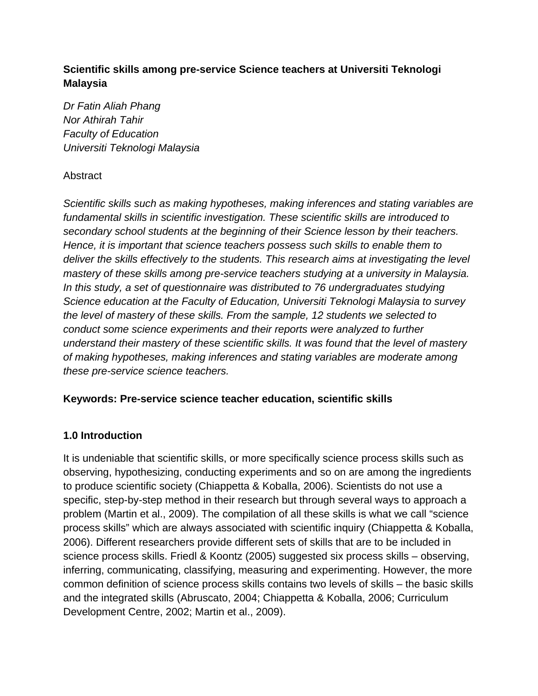## **Scientific skills among pre-service Science teachers at Universiti Teknologi Malaysia**

*Dr Fatin Aliah Phang Nor Athirah Tahir Faculty of Education Universiti Teknologi Malaysia*

## **Abstract**

*Scientific skills such as making hypotheses, making inferences and stating variables are fundamental skills in scientific investigation. These scientific skills are introduced to secondary school students at the beginning of their Science lesson by their teachers. Hence, it is important that science teachers possess such skills to enable them to deliver the skills effectively to the students. This research aims at investigating the level mastery of these skills among pre-service teachers studying at a university in Malaysia. In this study, a set of questionnaire was distributed to 76 undergraduates studying Science education at the Faculty of Education, Universiti Teknologi Malaysia to survey the level of mastery of these skills. From the sample, 12 students we selected to conduct some science experiments and their reports were analyzed to further understand their mastery of these scientific skills. It was found that the level of mastery of making hypotheses, making inferences and stating variables are moderate among these pre-service science teachers.* 

## **Keywords: Pre-service science teacher education, scientific skills**

## **1.0 Introduction**

It is undeniable that scientific skills, or more specifically science process skills such as observing, hypothesizing, conducting experiments and so on are among the ingredients to produce scientific society (Chiappetta & Koballa, 2006). Scientists do not use a specific, step-by-step method in their research but through several ways to approach a problem (Martin et al., 2009). The compilation of all these skills is what we call "science process skills" which are always associated with scientific inquiry (Chiappetta & Koballa, 2006). Different researchers provide different sets of skills that are to be included in science process skills. Friedl & Koontz (2005) suggested six process skills – observing, inferring, communicating, classifying, measuring and experimenting. However, the more common definition of science process skills contains two levels of skills – the basic skills and the integrated skills (Abruscato, 2004; Chiappetta & Koballa, 2006; Curriculum Development Centre, 2002; Martin et al., 2009).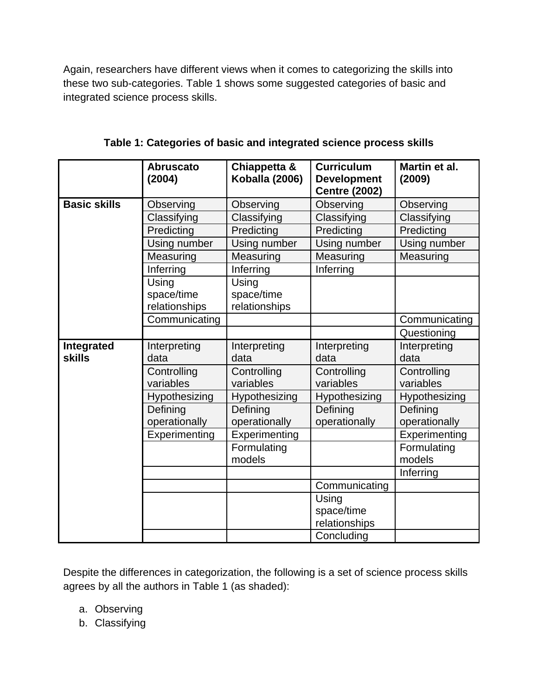Again, researchers have different views when it comes to categorizing the skills into these two sub-categories. Table 1 shows some suggested categories of basic and integrated science process skills.

|                             | <b>Abruscato</b><br>(2004) | Chiappetta &<br>Koballa (2006) | <b>Curriculum</b><br><b>Development</b><br><b>Centre (2002)</b> | Martin et al.<br>(2009) |
|-----------------------------|----------------------------|--------------------------------|-----------------------------------------------------------------|-------------------------|
| <b>Basic skills</b>         | Observing                  | Observing                      | Observing                                                       | Observing               |
|                             | Classifying                | Classifying                    | Classifying                                                     | Classifying             |
|                             | Predicting                 | Predicting                     | Predicting                                                      | Predicting              |
|                             | Using number               | Using number                   | Using number                                                    | Using number            |
|                             | Measuring                  | Measuring                      | Measuring                                                       | Measuring               |
|                             | Inferring                  | Inferring                      | Inferring                                                       |                         |
|                             | Using                      | Using                          |                                                                 |                         |
|                             | space/time                 | space/time                     |                                                                 |                         |
|                             | relationships              | relationships                  |                                                                 |                         |
|                             | Communicating              |                                |                                                                 | Communicating           |
|                             |                            |                                |                                                                 | Questioning             |
| Integrated<br><b>skills</b> | Interpreting               | Interpreting                   | Interpreting                                                    | Interpreting            |
|                             | data                       | data                           | data                                                            | data                    |
|                             | Controlling                | Controlling                    | Controlling                                                     | Controlling             |
|                             | variables                  | variables                      | variables                                                       | variables               |
|                             | Hypothesizing              | Hypothesizing                  | Hypothesizing                                                   | Hypothesizing           |
|                             | Defining                   | Defining                       | Defining                                                        | Defining                |
|                             | operationally              | operationally                  | operationally                                                   | operationally           |
|                             | Experimenting              | Experimenting                  |                                                                 | Experimenting           |
|                             |                            | Formulating                    |                                                                 | Formulating             |
|                             |                            | models                         |                                                                 | models                  |
|                             |                            |                                |                                                                 | Inferring               |
|                             |                            |                                | Communicating                                                   |                         |
|                             |                            |                                | Using                                                           |                         |
|                             |                            |                                | space/time                                                      |                         |
|                             |                            |                                | relationships                                                   |                         |
|                             |                            |                                | Concluding                                                      |                         |

**Table 1: Categories of basic and integrated science process skills**

Despite the differences in categorization, the following is a set of science process skills agrees by all the authors in Table 1 (as shaded):

- a. Observing
- b. Classifying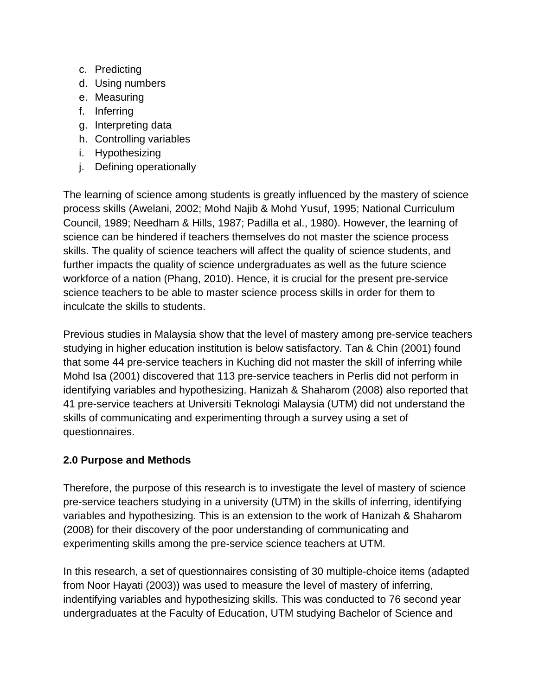- c. Predicting
- d. Using numbers
- e. Measuring
- f. Inferring
- g. Interpreting data
- h. Controlling variables
- i. Hypothesizing
- j. Defining operationally

The learning of science among students is greatly influenced by the mastery of science process skills (Awelani, 2002; Mohd Najib & Mohd Yusuf, 1995; National Curriculum Council, 1989; Needham & Hills, 1987; Padilla et al., 1980). However, the learning of science can be hindered if teachers themselves do not master the science process skills. The quality of science teachers will affect the quality of science students, and further impacts the quality of science undergraduates as well as the future science workforce of a nation (Phang, 2010). Hence, it is crucial for the present pre-service science teachers to be able to master science process skills in order for them to inculcate the skills to students.

Previous studies in Malaysia show that the level of mastery among pre-service teachers studying in higher education institution is below satisfactory. Tan & Chin (2001) found that some 44 pre-service teachers in Kuching did not master the skill of inferring while Mohd Isa (2001) discovered that 113 pre-service teachers in Perlis did not perform in identifying variables and hypothesizing. Hanizah & Shaharom (2008) also reported that 41 pre-service teachers at Universiti Teknologi Malaysia (UTM) did not understand the skills of communicating and experimenting through a survey using a set of questionnaires.

# **2.0 Purpose and Methods**

Therefore, the purpose of this research is to investigate the level of mastery of science pre-service teachers studying in a university (UTM) in the skills of inferring, identifying variables and hypothesizing. This is an extension to the work of Hanizah & Shaharom (2008) for their discovery of the poor understanding of communicating and experimenting skills among the pre-service science teachers at UTM.

In this research, a set of questionnaires consisting of 30 multiple-choice items (adapted from Noor Hayati (2003)) was used to measure the level of mastery of inferring, indentifying variables and hypothesizing skills. This was conducted to 76 second year undergraduates at the Faculty of Education, UTM studying Bachelor of Science and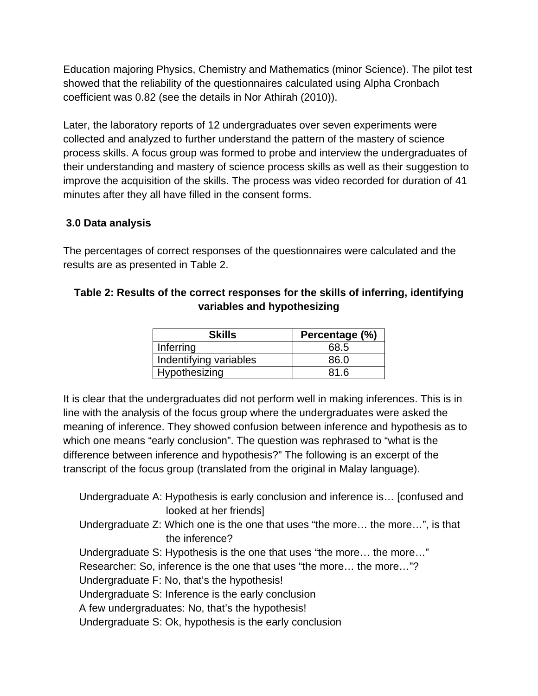Education majoring Physics, Chemistry and Mathematics (minor Science). The pilot test showed that the reliability of the questionnaires calculated using Alpha Cronbach coefficient was 0.82 (see the details in Nor Athirah (2010)).

Later, the laboratory reports of 12 undergraduates over seven experiments were collected and analyzed to further understand the pattern of the mastery of science process skills. A focus group was formed to probe and interview the undergraduates of their understanding and mastery of science process skills as well as their suggestion to improve the acquisition of the skills. The process was video recorded for duration of 41 minutes after they all have filled in the consent forms.

## **3.0 Data analysis**

The percentages of correct responses of the questionnaires were calculated and the results are as presented in Table 2.

## **Table 2: Results of the correct responses for the skills of inferring, identifying variables and hypothesizing**

| <b>Skills</b>          | Percentage (%) |
|------------------------|----------------|
| Inferring              | 68.5           |
| Indentifying variables | 86.0           |
| Hypothesizing          | 81.6           |

It is clear that the undergraduates did not perform well in making inferences. This is in line with the analysis of the focus group where the undergraduates were asked the meaning of inference. They showed confusion between inference and hypothesis as to which one means "early conclusion". The question was rephrased to "what is the difference between inference and hypothesis?" The following is an excerpt of the transcript of the focus group (translated from the original in Malay language).

Undergraduate A: Hypothesis is early conclusion and inference is… [confused and looked at her friends] Undergraduate Z: Which one is the one that uses "the more… the more…", is that the inference? Undergraduate S: Hypothesis is the one that uses "the more… the more…" Researcher: So, inference is the one that uses "the more… the more…"? Undergraduate F: No, that's the hypothesis! Undergraduate S: Inference is the early conclusion A few undergraduates: No, that's the hypothesis! Undergraduate S: Ok, hypothesis is the early conclusion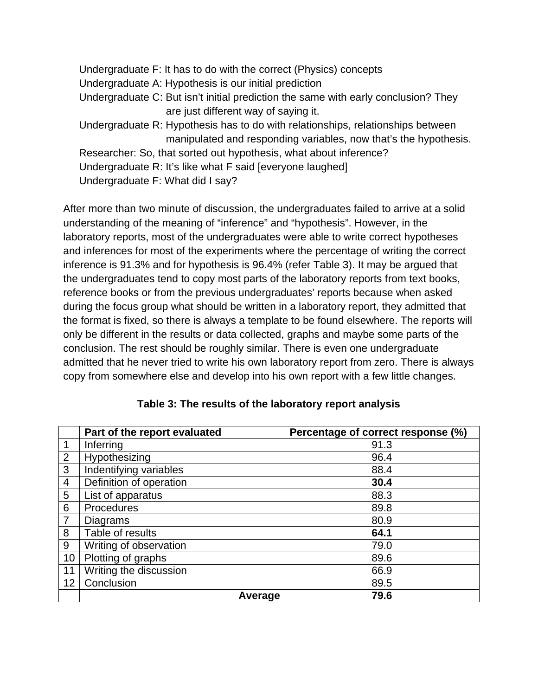Undergraduate F: It has to do with the correct (Physics) concepts Undergraduate A: Hypothesis is our initial prediction Undergraduate C: But isn't initial prediction the same with early conclusion? They are just different way of saying it. Undergraduate R: Hypothesis has to do with relationships, relationships between manipulated and responding variables, now that's the hypothesis. Researcher: So, that sorted out hypothesis, what about inference? Undergraduate R: It's like what F said [everyone laughed] Undergraduate F: What did I say?

After more than two minute of discussion, the undergraduates failed to arrive at a solid understanding of the meaning of "inference" and "hypothesis". However, in the laboratory reports, most of the undergraduates were able to write correct hypotheses and inferences for most of the experiments where the percentage of writing the correct inference is 91.3% and for hypothesis is 96.4% (refer Table 3). It may be argued that the undergraduates tend to copy most parts of the laboratory reports from text books, reference books or from the previous undergraduates' reports because when asked during the focus group what should be written in a laboratory report, they admitted that the format is fixed, so there is always a template to be found elsewhere. The reports will only be different in the results or data collected, graphs and maybe some parts of the conclusion. The rest should be roughly similar. There is even one undergraduate admitted that he never tried to write his own laboratory report from zero. There is always copy from somewhere else and develop into his own report with a few little changes.

|                | Part of the report evaluated | Percentage of correct response (%) |  |
|----------------|------------------------------|------------------------------------|--|
| 1              | Inferring                    | 91.3                               |  |
| 2              | Hypothesizing                | 96.4                               |  |
| 3              | Indentifying variables       | 88.4                               |  |
| $\overline{4}$ | Definition of operation      | 30.4                               |  |
| 5              | List of apparatus            | 88.3                               |  |
| 6              | Procedures                   | 89.8                               |  |
| $\overline{7}$ | <b>Diagrams</b>              | 80.9                               |  |
| 8              | Table of results             | 64.1                               |  |
| 9              | Writing of observation       | 79.0                               |  |
| 10             | Plotting of graphs           | 89.6                               |  |
| 11             | Writing the discussion       | 66.9                               |  |
| 12             | Conclusion                   | 89.5                               |  |
|                | Average                      | 79.6                               |  |

#### **Table 3: The results of the laboratory report analysis**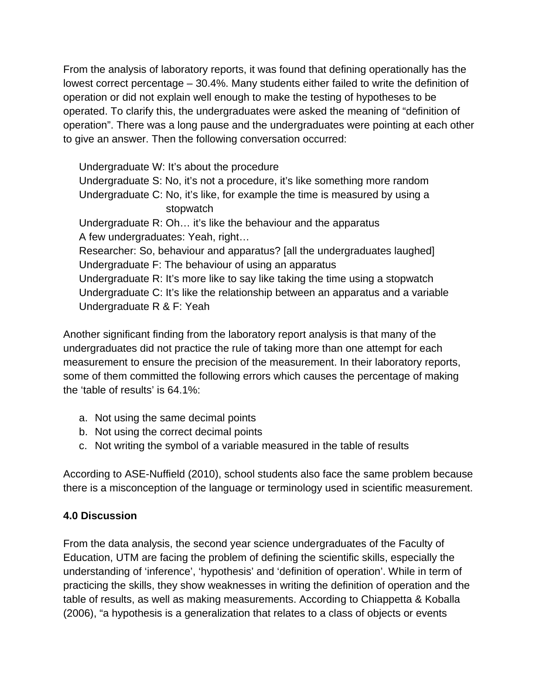From the analysis of laboratory reports, it was found that defining operationally has the lowest correct percentage – 30.4%. Many students either failed to write the definition of operation or did not explain well enough to make the testing of hypotheses to be operated. To clarify this, the undergraduates were asked the meaning of "definition of operation". There was a long pause and the undergraduates were pointing at each other to give an answer. Then the following conversation occurred:

Undergraduate W: It's about the procedure Undergraduate S: No, it's not a procedure, it's like something more random Undergraduate C: No, it's like, for example the time is measured by using a stopwatch Undergraduate R: Oh… it's like the behaviour and the apparatus A few undergraduates: Yeah, right… Researcher: So, behaviour and apparatus? [all the undergraduates laughed] Undergraduate F: The behaviour of using an apparatus Undergraduate R: It's more like to say like taking the time using a stopwatch Undergraduate C: It's like the relationship between an apparatus and a variable Undergraduate R & F: Yeah

Another significant finding from the laboratory report analysis is that many of the undergraduates did not practice the rule of taking more than one attempt for each measurement to ensure the precision of the measurement. In their laboratory reports, some of them committed the following errors which causes the percentage of making the 'table of results' is 64.1%:

- a. Not using the same decimal points
- b. Not using the correct decimal points
- c. Not writing the symbol of a variable measured in the table of results

According to ASE-Nuffield (2010), school students also face the same problem because there is a misconception of the language or terminology used in scientific measurement.

# **4.0 Discussion**

From the data analysis, the second year science undergraduates of the Faculty of Education, UTM are facing the problem of defining the scientific skills, especially the understanding of 'inference', 'hypothesis' and 'definition of operation'. While in term of practicing the skills, they show weaknesses in writing the definition of operation and the table of results, as well as making measurements. According to Chiappetta & Koballa (2006), "a hypothesis is a generalization that relates to a class of objects or events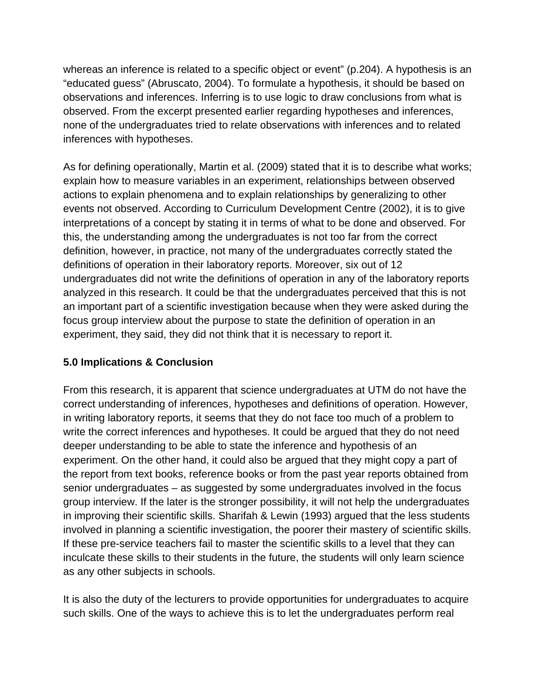whereas an inference is related to a specific object or event" (p.204). A hypothesis is an "educated guess" (Abruscato, 2004). To formulate a hypothesis, it should be based on observations and inferences. Inferring is to use logic to draw conclusions from what is observed. From the excerpt presented earlier regarding hypotheses and inferences, none of the undergraduates tried to relate observations with inferences and to related inferences with hypotheses.

As for defining operationally, Martin et al. (2009) stated that it is to describe what works; explain how to measure variables in an experiment, relationships between observed actions to explain phenomena and to explain relationships by generalizing to other events not observed. According to Curriculum Development Centre (2002), it is to give interpretations of a concept by stating it in terms of what to be done and observed. For this, the understanding among the undergraduates is not too far from the correct definition, however, in practice, not many of the undergraduates correctly stated the definitions of operation in their laboratory reports. Moreover, six out of 12 undergraduates did not write the definitions of operation in any of the laboratory reports analyzed in this research. It could be that the undergraduates perceived that this is not an important part of a scientific investigation because when they were asked during the focus group interview about the purpose to state the definition of operation in an experiment, they said, they did not think that it is necessary to report it.

# **5.0 Implications & Conclusion**

From this research, it is apparent that science undergraduates at UTM do not have the correct understanding of inferences, hypotheses and definitions of operation. However, in writing laboratory reports, it seems that they do not face too much of a problem to write the correct inferences and hypotheses. It could be argued that they do not need deeper understanding to be able to state the inference and hypothesis of an experiment. On the other hand, it could also be argued that they might copy a part of the report from text books, reference books or from the past year reports obtained from senior undergraduates – as suggested by some undergraduates involved in the focus group interview. If the later is the stronger possibility, it will not help the undergraduates in improving their scientific skills. Sharifah & Lewin (1993) argued that the less students involved in planning a scientific investigation, the poorer their mastery of scientific skills. If these pre-service teachers fail to master the scientific skills to a level that they can inculcate these skills to their students in the future, the students will only learn science as any other subjects in schools.

It is also the duty of the lecturers to provide opportunities for undergraduates to acquire such skills. One of the ways to achieve this is to let the undergraduates perform real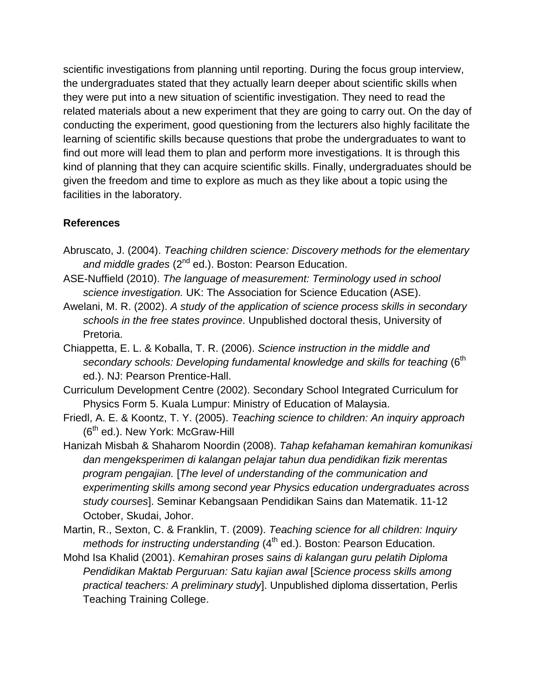scientific investigations from planning until reporting. During the focus group interview, the undergraduates stated that they actually learn deeper about scientific skills when they were put into a new situation of scientific investigation. They need to read the related materials about a new experiment that they are going to carry out. On the day of conducting the experiment, good questioning from the lecturers also highly facilitate the learning of scientific skills because questions that probe the undergraduates to want to find out more will lead them to plan and perform more investigations. It is through this kind of planning that they can acquire scientific skills. Finally, undergraduates should be given the freedom and time to explore as much as they like about a topic using the facilities in the laboratory.

## **References**

- Abruscato, J. (2004). *Teaching children science: Discovery methods for the elementary*  and middle grades (2<sup>nd</sup> ed.). Boston: Pearson Education.
- ASE-Nuffield (2010). *The language of measurement: Terminology used in school science investigation.* UK: The Association for Science Education (ASE).
- Awelani, M. R. (2002). *A study of the application of science process skills in secondary schools in the free states province*. Unpublished doctoral thesis, University of Pretoria.
- Chiappetta, E. L. & Koballa, T. R. (2006). *Science instruction in the middle and*  secondary schools: Developing fundamental knowledge and skills for teaching (6<sup>th</sup> ed.). NJ: Pearson Prentice-Hall.
- Curriculum Development Centre (2002). Secondary School Integrated Curriculum for Physics Form 5. Kuala Lumpur: Ministry of Education of Malaysia.
- Friedl, A. E. & Koontz, T. Y. (2005). *Teaching science to children: An inquiry approach*  (6<sup>th</sup> ed.). New York: McGraw-Hill
- Hanizah Misbah & Shaharom Noordin (2008). *Tahap kefahaman kemahiran komunikasi dan mengeksperimen di kalangan pelajar tahun dua pendidikan fizik merentas program pengajian.* [*The level of understanding of the communication and experimenting skills among second year Physics education undergraduates across study courses*]. Seminar Kebangsaan Pendidikan Sains dan Matematik. 11-12 October, Skudai, Johor.
- Martin, R., Sexton, C. & Franklin, T. (2009). *Teaching science for all children: Inquiry methods for instructing understanding* (4<sup>th</sup> ed.). Boston: Pearson Education.
- Mohd Isa Khalid (2001). *Kemahiran proses sains di kalangan guru pelatih Diploma Pendidikan Maktab Perguruan: Satu kajian awal* [*Science process skills among practical teachers: A preliminary study*]. Unpublished diploma dissertation, Perlis Teaching Training College.